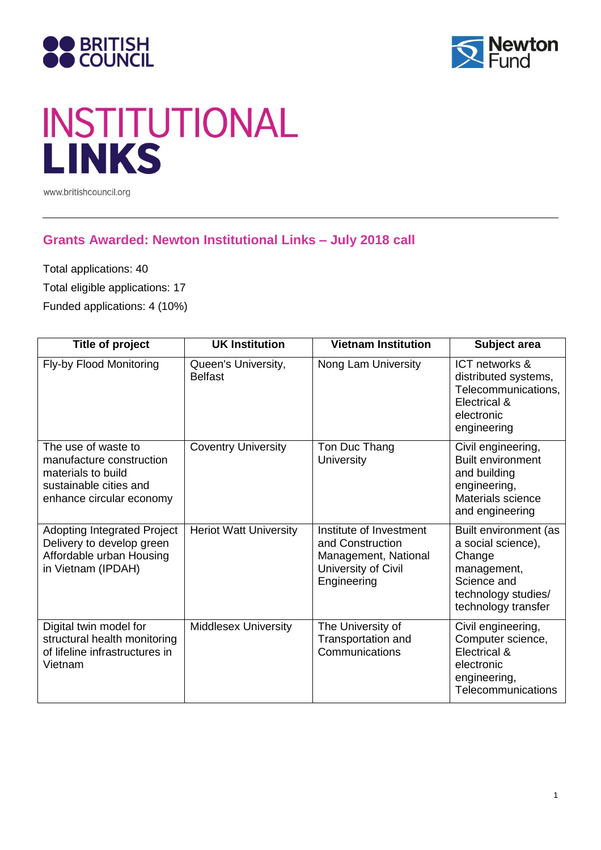



# **INSTITUTIONAL**<br>LINKS

www.britishcouncil.org

### **Grants Awarded: Newton Institutional Links – July 2018 call**

Total applications: 40

Total eligible applications: 17

Funded applications: 4 (10%)

| Title of project                                                                                                            | <b>UK Institution</b>                 | <b>Vietnam Institution</b>                                                                                | Subject area                                                                                                                      |
|-----------------------------------------------------------------------------------------------------------------------------|---------------------------------------|-----------------------------------------------------------------------------------------------------------|-----------------------------------------------------------------------------------------------------------------------------------|
| Fly-by Flood Monitoring                                                                                                     | Queen's University,<br><b>Belfast</b> | Nong Lam University                                                                                       | ICT networks &<br>distributed systems,<br>Telecommunications,<br>Electrical &<br>electronic<br>engineering                        |
| The use of waste to<br>manufacture construction<br>materials to build<br>sustainable cities and<br>enhance circular economy | <b>Coventry University</b>            | Ton Duc Thang<br><b>University</b>                                                                        | Civil engineering,<br><b>Built environment</b><br>and building<br>engineering,<br>Materials science<br>and engineering            |
| <b>Adopting Integrated Project</b><br>Delivery to develop green<br>Affordable urban Housing<br>in Vietnam (IPDAH)           | <b>Heriot Watt University</b>         | Institute of Investment<br>and Construction<br>Management, National<br>University of Civil<br>Engineering | Built environment (as<br>a social science),<br>Change<br>management,<br>Science and<br>technology studies/<br>technology transfer |
| Digital twin model for<br>structural health monitoring<br>of lifeline infrastructures in<br>Vietnam                         | <b>Middlesex University</b>           | The University of<br><b>Transportation and</b><br>Communications                                          | Civil engineering,<br>Computer science,<br>Electrical &<br>electronic<br>engineering,<br>Telecommunications                       |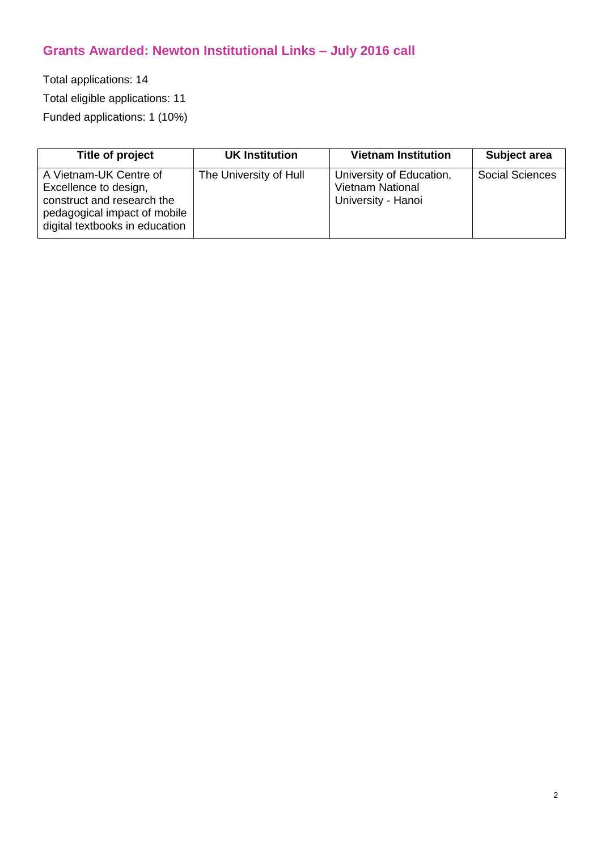# **Grants Awarded: Newton Institutional Links – July 2016 call**

Total applications: 14

Total eligible applications: 11

Funded applications: 1 (10%)

| Title of project                                                                                                                                | <b>UK Institution</b>  | <b>Vietnam Institution</b>                                                | Subject area           |
|-------------------------------------------------------------------------------------------------------------------------------------------------|------------------------|---------------------------------------------------------------------------|------------------------|
| A Vietnam-UK Centre of<br>Excellence to design,<br>construct and research the<br>pedagogical impact of mobile<br>digital textbooks in education | The University of Hull | University of Education,<br><b>Vietnam National</b><br>University - Hanoi | <b>Social Sciences</b> |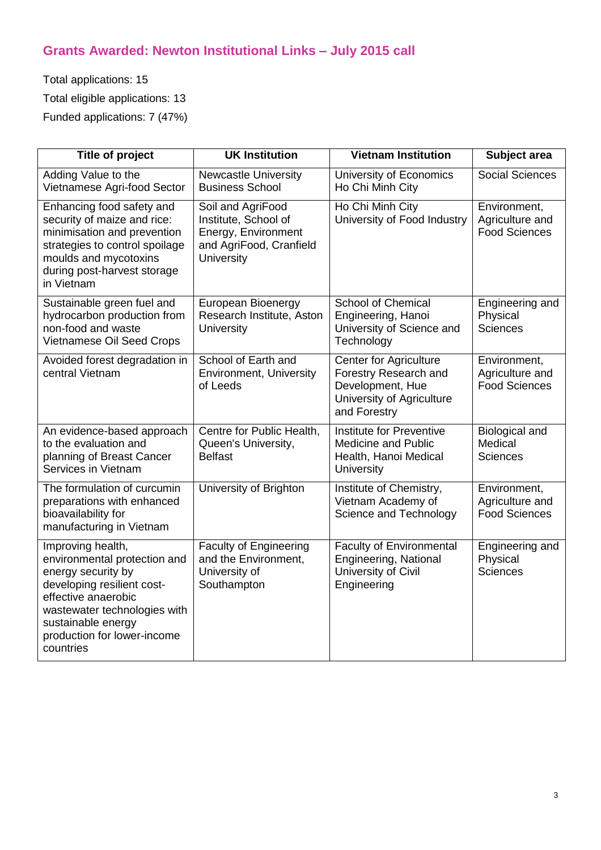# **Grants Awarded: Newton Institutional Links – July 2015 call**

Total applications: 15 Total eligible applications: 13 Funded applications: 7 (47%)

| <b>Title of project</b>                                                                                                                                                                                                        | <b>UK Institution</b>                                                                                     | <b>Vietnam Institution</b>                                                                                              | Subject area                                            |
|--------------------------------------------------------------------------------------------------------------------------------------------------------------------------------------------------------------------------------|-----------------------------------------------------------------------------------------------------------|-------------------------------------------------------------------------------------------------------------------------|---------------------------------------------------------|
| Adding Value to the<br>Vietnamese Agri-food Sector                                                                                                                                                                             | <b>Newcastle University</b><br><b>Business School</b>                                                     | University of Economics<br>Ho Chi Minh City                                                                             | <b>Social Sciences</b>                                  |
| Enhancing food safety and<br>security of maize and rice:<br>minimisation and prevention<br>strategies to control spoilage<br>moulds and mycotoxins<br>during post-harvest storage<br>in Vietnam                                | Soil and AgriFood<br>Institute, School of<br>Energy, Environment<br>and AgriFood, Cranfield<br>University | Ho Chi Minh City<br>University of Food Industry                                                                         | Environment,<br>Agriculture and<br><b>Food Sciences</b> |
| Sustainable green fuel and<br>hydrocarbon production from<br>non-food and waste<br>Vietnamese Oil Seed Crops                                                                                                                   | European Bioenergy<br>Research Institute, Aston<br><b>University</b>                                      | <b>School of Chemical</b><br>Engineering, Hanoi<br>University of Science and<br>Technology                              | Engineering and<br>Physical<br><b>Sciences</b>          |
| Avoided forest degradation in<br>central Vietnam                                                                                                                                                                               | School of Earth and<br><b>Environment, University</b><br>of Leeds                                         | <b>Center for Agriculture</b><br>Forestry Research and<br>Development, Hue<br>University of Agriculture<br>and Forestry | Environment,<br>Agriculture and<br><b>Food Sciences</b> |
| An evidence-based approach<br>to the evaluation and<br>planning of Breast Cancer<br>Services in Vietnam                                                                                                                        | Centre for Public Health,<br>Queen's University,<br><b>Belfast</b>                                        | Institute for Preventive<br><b>Medicine and Public</b><br>Health, Hanoi Medical<br>University                           | Biological and<br>Medical<br><b>Sciences</b>            |
| The formulation of curcumin<br>preparations with enhanced<br>bioavailability for<br>manufacturing in Vietnam                                                                                                                   | University of Brighton                                                                                    | Institute of Chemistry,<br>Vietnam Academy of<br>Science and Technology                                                 | Environment,<br>Agriculture and<br><b>Food Sciences</b> |
| Improving health,<br>environmental protection and<br>energy security by<br>developing resilient cost-<br>effective anaerobic<br>wastewater technologies with<br>sustainable energy<br>production for lower-income<br>countries | <b>Faculty of Engineering</b><br>and the Environment,<br>University of<br>Southampton                     | <b>Faculty of Environmental</b><br>Engineering, National<br>University of Civil<br>Engineering                          | Engineering and<br>Physical<br><b>Sciences</b>          |